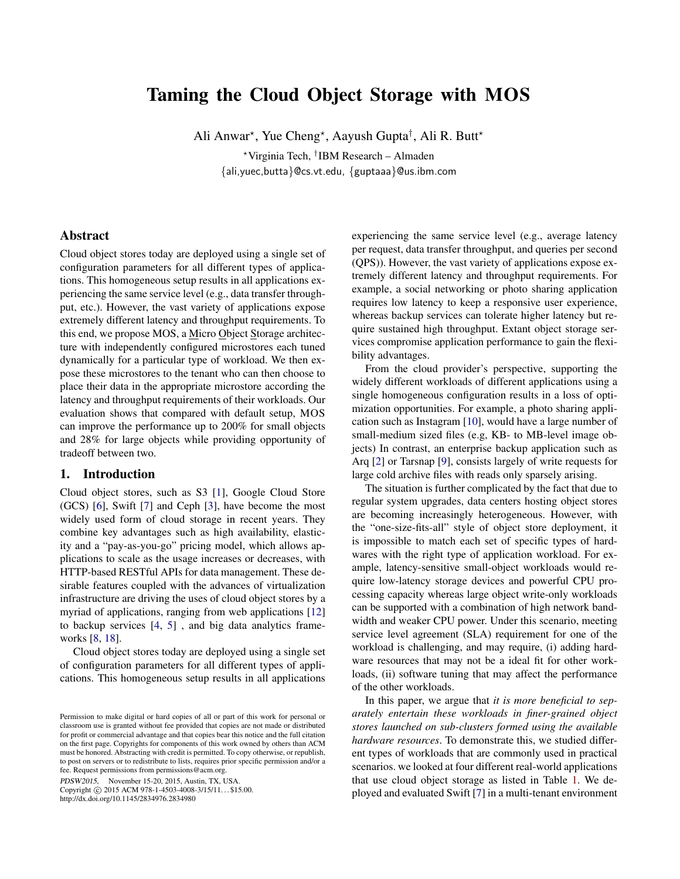# Taming the Cloud Object Storage with MOS

Ali Anwar<sup>\*</sup>, Yue Cheng<sup>\*</sup>, Aayush Gupta<sup>†</sup>, Ali R. Butt<sup>\*</sup>

<sup>⋆</sup>Virginia Tech, † IBM Research – Almaden {ali,yuec,butta}@cs.vt.edu, {guptaaa}@us.ibm.com

### Abstract

Cloud object stores today are deployed using a single set of configuration parameters for all different types of applications. This homogeneous setup results in all applications experiencing the same service level (e.g., data transfer throughput, etc.). However, the vast variety of applications expose extremely different latency and throughput requirements. To this end, we propose MOS, a Micro Object Storage architecture with independently configured microstores each tuned dynamically for a particular type of workload. We then expose these microstores to the tenant who can then choose to place their data in the appropriate microstore according the latency and throughput requirements of their workloads. Our evaluation shows that compared with default setup, MOS can improve the performance up to 200% for small objects and 28% for large objects while providing opportunity of tradeoff between two.

### 1. Introduction

Cloud object stores, such as S3 [\[1\]](#page-5-0), Google Cloud Store (GCS) [\[6\]](#page-5-1), Swift [\[7\]](#page-5-2) and Ceph [\[3](#page-5-3)], have become the most widely used form of cloud storage in recent years. They combine key advantages such as high availability, elasticity and a "pay-as-you-go" pricing model, which allows applications to scale as the usage increases or decreases, with HTTP-based RESTful APIs for data management. These desirable features coupled with the advances of virtualization infrastructure are driving the uses of cloud object stores by a myriad of applications, ranging from web applications [\[12\]](#page-5-4) to backup services [\[4,](#page-5-5) [5\]](#page-5-6) , and big data analytics frameworks [\[8](#page-5-7), [18\]](#page-5-8).

Cloud object stores today are deployed using a single set of configuration parameters for all different types of applications. This homogeneous setup results in all applications

PDSW2015, November 15-20, 2015, Austin, TX, USA.

Copyright © 2015 ACM 978-1-4503-4008-3/15/11... \$15.00. http://dx.doi.org/10.1145/2834976.2834980

experiencing the same service level (e.g., average latency per request, data transfer throughput, and queries per second (QPS)). However, the vast variety of applications expose extremely different latency and throughput requirements. For example, a social networking or photo sharing application requires low latency to keep a responsive user experience, whereas backup services can tolerate higher latency but require sustained high throughput. Extant object storage services compromise application performance to gain the flexibility advantages.

From the cloud provider's perspective, supporting the widely different workloads of different applications using a single homogeneous configuration results in a loss of optimization opportunities. For example, a photo sharing application such as Instagram [\[10](#page-5-9)], would have a large number of small-medium sized files (e.g, KB- to MB-level image objects) In contrast, an enterprise backup application such as Arq [\[2](#page-5-10)] or Tarsnap [\[9](#page-5-11)], consists largely of write requests for large cold archive files with reads only sparsely arising.

The situation is further complicated by the fact that due to regular system upgrades, data centers hosting object stores are becoming increasingly heterogeneous. However, with the "one-size-fits-all" style of object store deployment, it is impossible to match each set of specific types of hardwares with the right type of application workload. For example, latency-sensitive small-object workloads would require low-latency storage devices and powerful CPU processing capacity whereas large object write-only workloads can be supported with a combination of high network bandwidth and weaker CPU power. Under this scenario, meeting service level agreement (SLA) requirement for one of the workload is challenging, and may require, (i) adding hardware resources that may not be a ideal fit for other workloads, (ii) software tuning that may affect the performance of the other workloads.

In this paper, we argue that *it is more beneficial to separately entertain these workloads in finer-grained object stores launched on sub-clusters formed using the available hardware resources*. To demonstrate this, we studied different types of workloads that are commonly used in practical scenarios. we looked at four different real-world applications that use cloud object storage as listed in Table [1.](#page-1-0) We deployed and evaluated Swift [\[7\]](#page-5-2) in a multi-tenant environment

Permission to make digital or hard copies of all or part of this work for personal or classroom use is granted without fee provided that copies are not made or distributed for profit or commercial advantage and that copies bear this notice and the full citation on the first page. Copyrights for components of this work owned by others than ACM must be honored. Abstracting with credit is permitted. To copy otherwise, or republish, to post on servers or to redistribute to lists, requires prior specific permission and/or a fee. Request permissions from permissions@acm.org.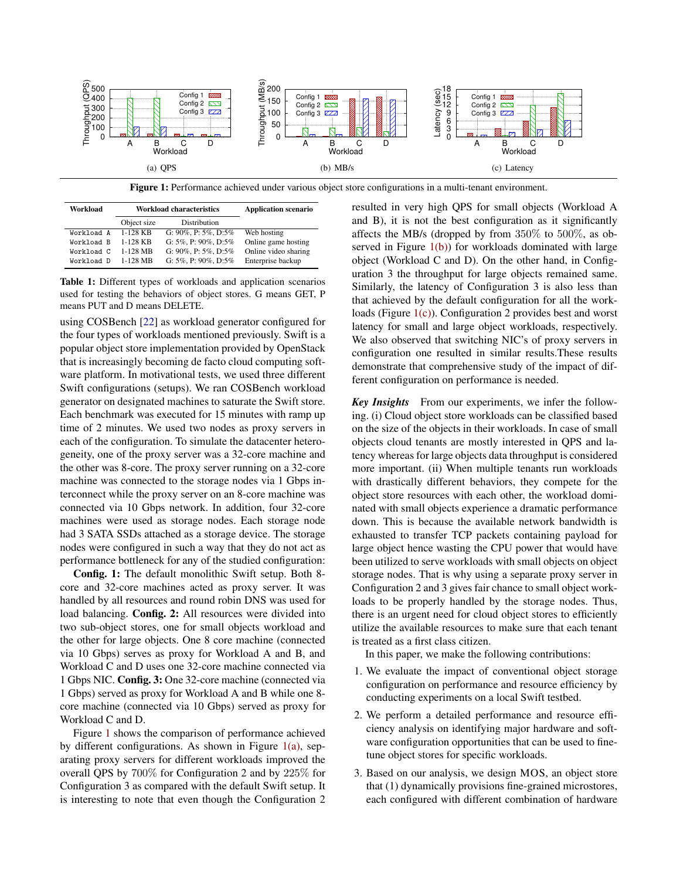<span id="page-1-2"></span><span id="page-1-1"></span>

Figure 1: Performance achieved under various object store configurations in a multi-tenant environment.

<span id="page-1-0"></span>

| Workload   | <b>Workload characteristics</b> |                                 | <b>Application scenario</b> |
|------------|---------------------------------|---------------------------------|-----------------------------|
|            | Object size                     | Distribution                    |                             |
| Workload A | $1-128$ KB                      | G: $90\%$ , P: $5\%$ , D: $5\%$ | Web hosting                 |
| Workload B | $1-128$ KB                      | G: $5\%$ , P: $90\%$ , D: $5\%$ | Online game hosting         |
| Workload C | 1-128 MB                        | G: $90\%$ , P: $5\%$ , D: $5\%$ | Online video sharing        |
| Workload D | $1-128$ MB                      | G: $5\%$ , P: $90\%$ , D: $5\%$ | Enterprise backup           |

Table 1: Different types of workloads and application scenarios used for testing the behaviors of object stores. G means GET, P means PUT and D means DELETE.

using COSBench [\[22\]](#page-5-12) as workload generator configured for the four types of workloads mentioned previously. Swift is a popular object store implementation provided by OpenStack that is increasingly becoming de facto cloud computing software platform. In motivational tests, we used three different Swift configurations (setups). We ran COSBench workload generator on designated machines to saturate the Swift store. Each benchmark was executed for 15 minutes with ramp up time of 2 minutes. We used two nodes as proxy servers in each of the configuration. To simulate the datacenter heterogeneity, one of the proxy server was a 32-core machine and the other was 8-core. The proxy server running on a 32-core machine was connected to the storage nodes via 1 Gbps interconnect while the proxy server on an 8-core machine was connected via 10 Gbps network. In addition, four 32-core machines were used as storage nodes. Each storage node had 3 SATA SSDs attached as a storage device. The storage nodes were configured in such a way that they do not act as performance bottleneck for any of the studied configuration:

Config. 1: The default monolithic Swift setup. Both 8 core and 32-core machines acted as proxy server. It was handled by all resources and round robin DNS was used for load balancing. Config. 2: All resources were divided into two sub-object stores, one for small objects workload and the other for large objects. One 8 core machine (connected via 10 Gbps) serves as proxy for Workload A and B, and Workload C and D uses one 32-core machine connected via 1 Gbps NIC. Config. 3: One 32-core machine (connected via 1 Gbps) served as proxy for Workload A and B while one 8 core machine (connected via 10 Gbps) served as proxy for Workload C and D.

Figure [1](#page-1-1) shows the comparison of performance achieved by different configurations. As shown in Figure  $1(a)$ , separating proxy servers for different workloads improved the overall QPS by 700% for Configuration 2 and by 225% for Configuration 3 as compared with the default Swift setup. It is interesting to note that even though the Configuration 2 <span id="page-1-4"></span><span id="page-1-3"></span>resulted in very high QPS for small objects (Workload A and B), it is not the best configuration as it significantly affects the MB/s (dropped by from  $350\%$  to  $500\%$ , as observed in Figure  $1(b)$ ) for workloads dominated with large object (Workload C and D). On the other hand, in Configuration 3 the throughput for large objects remained same. Similarly, the latency of Configuration 3 is also less than that achieved by the default configuration for all the workloads (Figure [1\(c\)\)](#page-1-4). Configuration 2 provides best and worst latency for small and large object workloads, respectively. We also observed that switching NIC's of proxy servers in configuration one resulted in similar results.These results demonstrate that comprehensive study of the impact of different configuration on performance is needed.

*Key Insights* From our experiments, we infer the following. (i) Cloud object store workloads can be classified based on the size of the objects in their workloads. In case of small objects cloud tenants are mostly interested in QPS and latency whereas for large objects data throughput is considered more important. (ii) When multiple tenants run workloads with drastically different behaviors, they compete for the object store resources with each other, the workload dominated with small objects experience a dramatic performance down. This is because the available network bandwidth is exhausted to transfer TCP packets containing payload for large object hence wasting the CPU power that would have been utilized to serve workloads with small objects on object storage nodes. That is why using a separate proxy server in Configuration 2 and 3 gives fair chance to small object workloads to be properly handled by the storage nodes. Thus, there is an urgent need for cloud object stores to efficiently utilize the available resources to make sure that each tenant is treated as a first class citizen.

In this paper, we make the following contributions:

- 1. We evaluate the impact of conventional object storage configuration on performance and resource efficiency by conducting experiments on a local Swift testbed.
- 2. We perform a detailed performance and resource efficiency analysis on identifying major hardware and software configuration opportunities that can be used to finetune object stores for specific workloads.
- 3. Based on our analysis, we design MOS, an object store that (1) dynamically provisions fine-grained microstores, each configured with different combination of hardware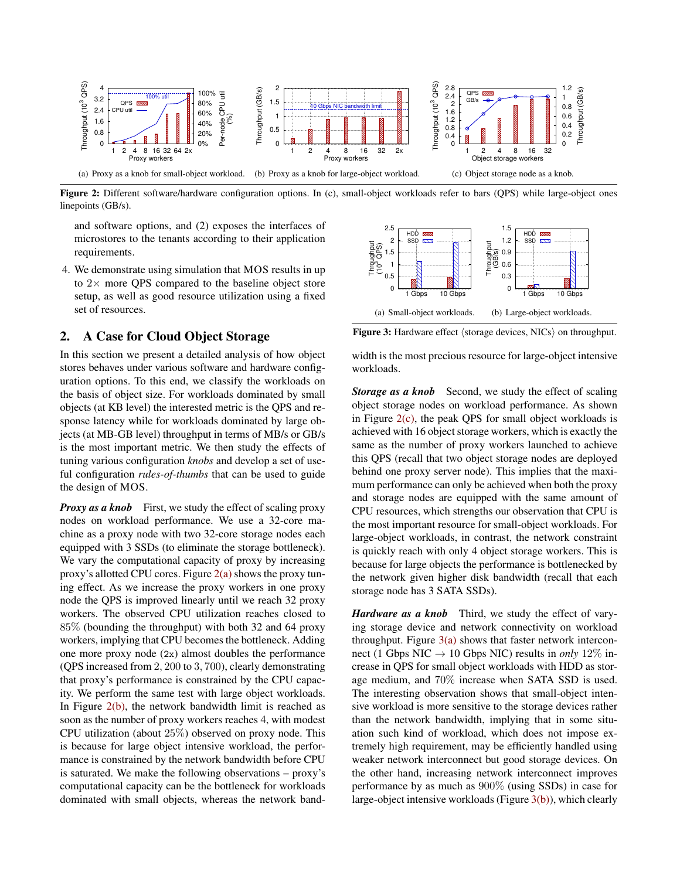<span id="page-2-0"></span>

Figure 2: Different software/hardware configuration options. In (c), small-object workloads refer to bars (OPS) while large-object ones linepoints (GB/s).

and software options, and (2) exposes the interfaces of microstores to the tenants according to their application requirements.

4. We demonstrate using simulation that MOS results in up to  $2\times$  more QPS compared to the baseline object store setup, as well as good resource utilization using a fixed set of resources.

## <span id="page-2-5"></span>2. A Case for Cloud Object Storage

In this section we present a detailed analysis of how object stores behaves under various software and hardware configuration options. To this end, we classify the workloads on the basis of object size. For workloads dominated by small objects (at KB level) the interested metric is the QPS and response latency while for workloads dominated by large objects (at MB-GB level) throughput in terms of MB/s or GB/s is the most important metric. We then study the effects of tuning various configuration *knobs* and develop a set of useful configuration *rules-of-thumbs* that can be used to guide the design of MOS.

*Proxy as a knob* First, we study the effect of scaling proxy nodes on workload performance. We use a 32-core machine as a proxy node with two 32-core storage nodes each equipped with 3 SSDs (to eliminate the storage bottleneck). We vary the computational capacity of proxy by increasing proxy's allotted CPU cores. Figure [2\(a\)](#page-2-0) shows the proxy tuning effect. As we increase the proxy workers in one proxy node the QPS is improved linearly until we reach 32 proxy workers. The observed CPU utilization reaches closed to 85% (bounding the throughput) with both 32 and 64 proxy workers, implying that CPU becomes the bottleneck. Adding one more proxy node (2x) almost doubles the performance (QPS increased from 2, 200 to 3, 700), clearly demonstrating that proxy's performance is constrained by the CPU capacity. We perform the same test with large object workloads. In Figure  $2(b)$ , the network bandwidth limit is reached as soon as the number of proxy workers reaches 4, with modest CPU utilization (about 25%) observed on proxy node. This is because for large object intensive workload, the performance is constrained by the network bandwidth before CPU is saturated. We make the following observations – proxy's computational capacity can be the bottleneck for workloads dominated with small objects, whereas the network band-

<span id="page-2-3"></span><span id="page-2-2"></span><span id="page-2-1"></span>

<span id="page-2-4"></span>Figure 3: Hardware effect  $\langle$  storage devices, NICs $\rangle$  on throughput.

width is the most precious resource for large-object intensive workloads.

**Storage as a knob** Second, we study the effect of scaling object storage nodes on workload performance. As shown in Figure  $2(c)$ , the peak QPS for small object workloads is achieved with 16 object storage workers, which is exactly the same as the number of proxy workers launched to achieve this QPS (recall that two object storage nodes are deployed behind one proxy server node). This implies that the maximum performance can only be achieved when both the proxy and storage nodes are equipped with the same amount of CPU resources, which strengths our observation that CPU is the most important resource for small-object workloads. For large-object workloads, in contrast, the network constraint is quickly reach with only 4 object storage workers. This is because for large objects the performance is bottlenecked by the network given higher disk bandwidth (recall that each storage node has 3 SATA SSDs).

*Hardware as a knob* Third, we study the effect of varying storage device and network connectivity on workload throughput. Figure  $3(a)$  shows that faster network interconnect (1 Gbps NIC  $\rightarrow$  10 Gbps NIC) results in *only* 12\% increase in QPS for small object workloads with HDD as storage medium, and 70% increase when SATA SSD is used. The interesting observation shows that small-object intensive workload is more sensitive to the storage devices rather than the network bandwidth, implying that in some situation such kind of workload, which does not impose extremely high requirement, may be efficiently handled using weaker network interconnect but good storage devices. On the other hand, increasing network interconnect improves performance by as much as 900% (using SSDs) in case for large-object intensive workloads (Figure [3\(b\)\)](#page-2-4), which clearly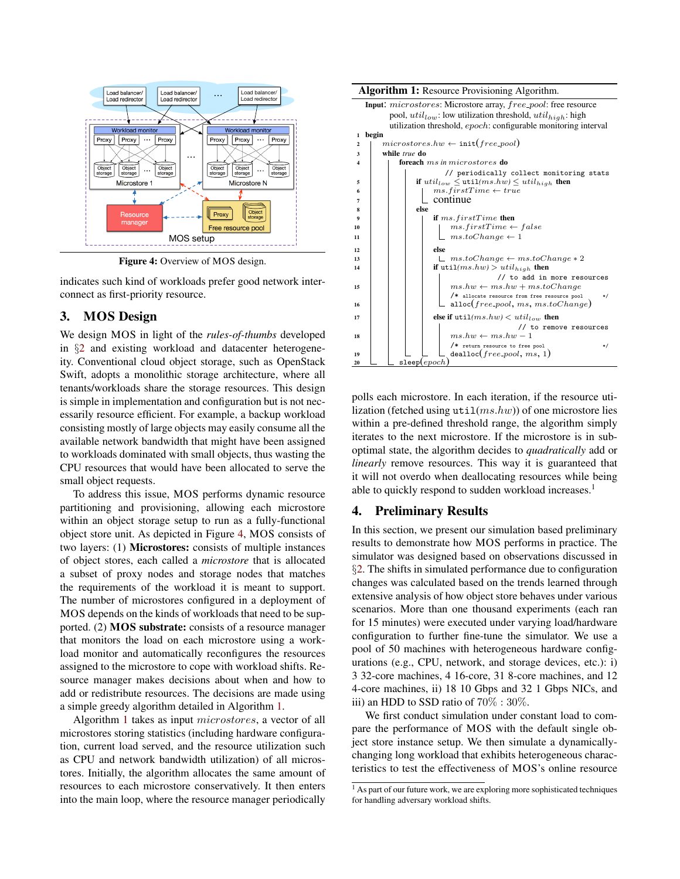<span id="page-3-0"></span>

Figure 4: Overview of MOS design.

indicates such kind of workloads prefer good network interconnect as first-priority resource.

# 3. MOS Design

We design MOS in light of the *rules-of-thumbs* developed in §[2](#page-2-5) and existing workload and datacenter heterogeneity. Conventional cloud object storage, such as OpenStack Swift, adopts a monolithic storage architecture, where all tenants/workloads share the storage resources. This design is simple in implementation and configuration but is not necessarily resource efficient. For example, a backup workload consisting mostly of large objects may easily consume all the available network bandwidth that might have been assigned to workloads dominated with small objects, thus wasting the CPU resources that would have been allocated to serve the small object requests.

To address this issue, MOS performs dynamic resource partitioning and provisioning, allowing each microstore within an object storage setup to run as a fully-functional object store unit. As depicted in Figure [4,](#page-3-0) MOS consists of two layers: (1) Microstores: consists of multiple instances of object stores, each called a *microstore* that is allocated a subset of proxy nodes and storage nodes that matches the requirements of the workload it is meant to support. The number of microstores configured in a deployment of MOS depends on the kinds of workloads that need to be supported. (2) MOS substrate: consists of a resource manager that monitors the load on each microstore using a workload monitor and automatically reconfigures the resources assigned to the microstore to cope with workload shifts. Resource manager makes decisions about when and how to add or redistribute resources. The decisions are made using a simple greedy algorithm detailed in Algorithm [1.](#page-3-1)

Algorithm [1](#page-3-1) takes as input microstores, a vector of all microstores storing statistics (including hardware configuration, current load served, and the resource utilization such as CPU and network bandwidth utilization) of all microstores. Initially, the algorithm allocates the same amount of resources to each microstore conservatively. It then enters into the main loop, where the resource manager periodically



<span id="page-3-1"></span>polls each microstore. In each iteration, if the resource utilization (fetched using  $util(ms,hw)$ ) of one microstore lies within a pre-defined threshold range, the algorithm simply iterates to the next microstore. If the microstore is in suboptimal state, the algorithm decides to *quadratically* add or *linearly* remove resources. This way it is guaranteed that it will not overdo when deallocating resources while being able to quickly respond to sudden workload increases.<sup>1</sup>

### 4. Preliminary Results

In this section, we present our simulation based preliminary results to demonstrate how MOS performs in practice. The simulator was designed based on observations discussed in §[2.](#page-2-5) The shifts in simulated performance due to configuration changes was calculated based on the trends learned through extensive analysis of how object store behaves under various scenarios. More than one thousand experiments (each ran for 15 minutes) were executed under varying load/hardware configuration to further fine-tune the simulator. We use a pool of 50 machines with heterogeneous hardware configurations (e.g., CPU, network, and storage devices, etc.): i) 3 32-core machines, 4 16-core, 31 8-core machines, and 12 4-core machines, ii) 18 10 Gbps and 32 1 Gbps NICs, and iii) an HDD to SSD ratio of 70% : 30%.

We first conduct simulation under constant load to compare the performance of MOS with the default single object store instance setup. We then simulate a dynamicallychanging long workload that exhibits heterogeneous characteristics to test the effectiveness of MOS's online resource

 $\frac{1}{1}$  As part of our future work, we are exploring more sophisticated techniques for handling adversary workload shifts.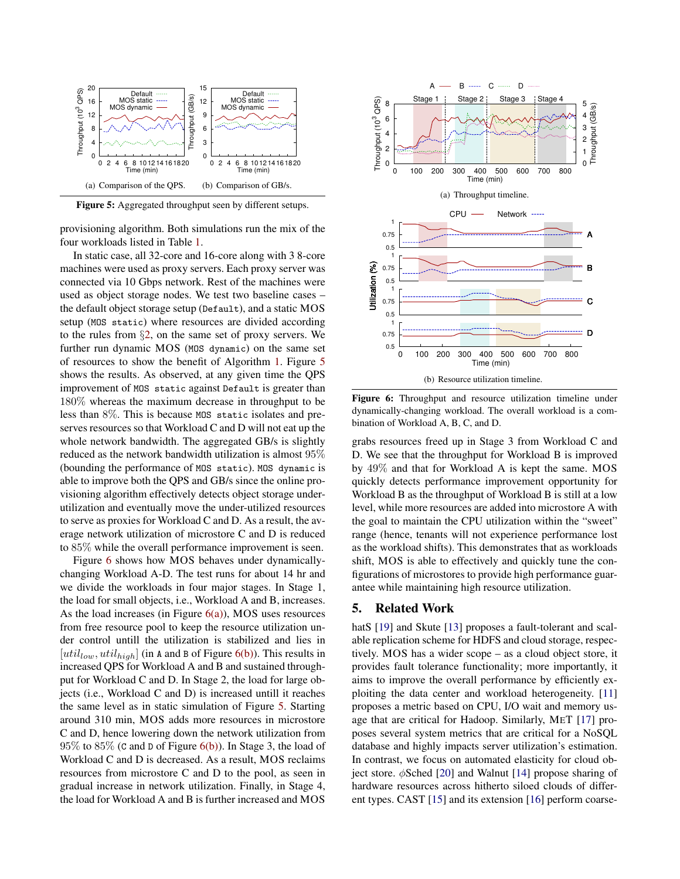<span id="page-4-0"></span>

Figure 5: Aggregated throughput seen by different setups.

provisioning algorithm. Both simulations run the mix of the four workloads listed in Table [1.](#page-1-0)

In static case, all 32-core and 16-core along with 3 8-core machines were used as proxy servers. Each proxy server was connected via 10 Gbps network. Rest of the machines were used as object storage nodes. We test two baseline cases – the default object storage setup (Default), and a static MOS setup (MOS static) where resources are divided according to the rules from §[2,](#page-2-5) on the same set of proxy servers. We further run dynamic MOS (MOS dynamic) on the same set of resources to show the benefit of Algorithm [1.](#page-3-1) Figure [5](#page-4-0) shows the results. As observed, at any given time the QPS improvement of MOS static against Default is greater than 180% whereas the maximum decrease in throughput to be less than 8%. This is because MOS static isolates and preserves resources so that Workload C and D will not eat up the whole network bandwidth. The aggregated GB/s is slightly reduced as the network bandwidth utilization is almost 95% (bounding the performance of MOS static). MOS dynamic is able to improve both the QPS and GB/s since the online provisioning algorithm effectively detects object storage underutilization and eventually move the under-utilized resources to serve as proxies for Workload C and D. As a result, the average network utilization of microstore C and D is reduced to 85% while the overall performance improvement is seen.

Figure [6](#page-4-1) shows how MOS behaves under dynamicallychanging Workload A-D. The test runs for about 14 hr and we divide the workloads in four major stages. In Stage 1, the load for small objects, i.e., Workload A and B, increases. As the load increases (in Figure  $6(a)$ ), MOS uses resources from free resource pool to keep the resource utilization under control untill the utilization is stabilized and lies in  $[util_{low}, util_{high}]$  (in A and B of Figure [6\(b\)\)](#page-4-3). This results in increased QPS for Workload A and B and sustained throughput for Workload C and D. In Stage 2, the load for large objects (i.e., Workload C and D) is increased untill it reaches the same level as in static simulation of Figure [5.](#page-4-0) Starting around 310 min, MOS adds more resources in microstore C and D, hence lowering down the network utilization from  $95\%$  to  $85\%$  (C and D of Figure [6\(b\)\)](#page-4-3). In Stage 3, the load of Workload C and D is decreased. As a result, MOS reclaims resources from microstore C and D to the pool, as seen in gradual increase in network utilization. Finally, in Stage 4, the load for Workload A and B is further increased and MOS

<span id="page-4-2"></span><span id="page-4-1"></span>

<span id="page-4-3"></span>Figure 6: Throughput and resource utilization timeline under dynamically-changing workload. The overall workload is a combination of Workload A, B, C, and D.

grabs resources freed up in Stage 3 from Workload C and D. We see that the throughput for Workload B is improved by 49% and that for Workload A is kept the same. MOS quickly detects performance improvement opportunity for Workload B as the throughput of Workload B is still at a low level, while more resources are added into microstore A with the goal to maintain the CPU utilization within the "sweet" range (hence, tenants will not experience performance lost as the workload shifts). This demonstrates that as workloads shift, MOS is able to effectively and quickly tune the configurations of microstores to provide high performance guarantee while maintaining high resource utilization.

### 5. Related Work

hatS [\[19\]](#page-5-13) and Skute [\[13](#page-5-14)] proposes a fault-tolerant and scalable replication scheme for HDFS and cloud storage, respectively. MOS has a wider scope – as a cloud object store, it provides fault tolerance functionality; more importantly, it aims to improve the overall performance by efficiently exploiting the data center and workload heterogeneity. [\[11\]](#page-5-15) proposes a metric based on CPU, I/O wait and memory usage that are critical for Hadoop. Similarly, MET [\[17\]](#page-5-16) proposes several system metrics that are critical for a NoSQL database and highly impacts server utilization's estimation. In contrast, we focus on automated elasticity for cloud object store.  $\phi$ Sched [\[20\]](#page-5-17) and Walnut [\[14\]](#page-5-18) propose sharing of hardware resources across hitherto siloed clouds of different types. CAST [\[15\]](#page-5-19) and its extension [\[16](#page-5-20)] perform coarse